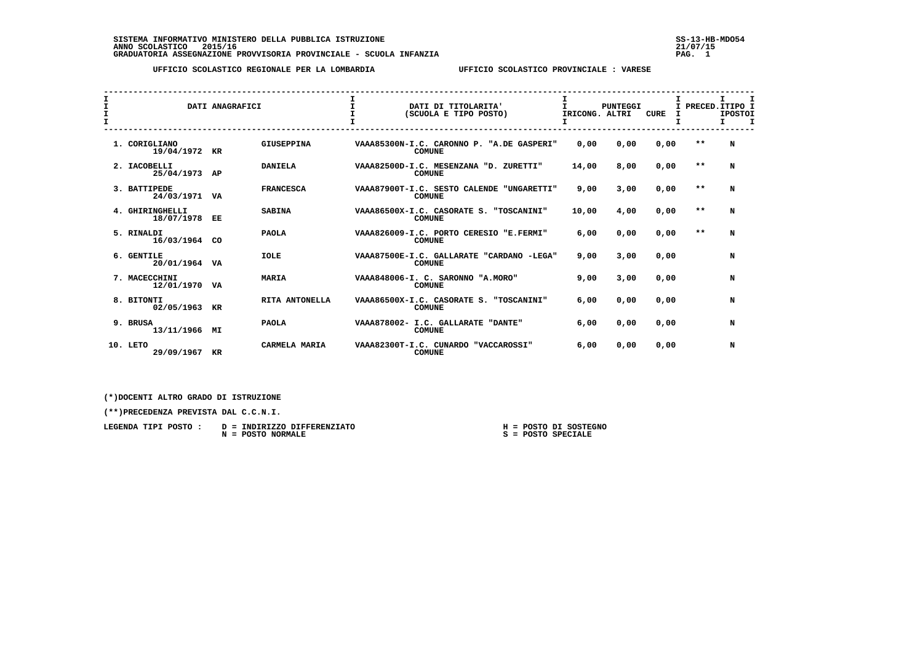SISTEMA INFORMATIVO MINISTERO DELLA PUBBLICA ISTRUZIONE<br>ANNO SCOLASTICO 2015/16<br>GRADUATORIA ASSEGNAZIONE PROVVISORIA PROVINCIALE - SCUOLA INFANZIA PROVINCIA PROVISORIA PAG. 1767/15

 **UFFICIO SCOLASTICO REGIONALE PER LA LOMBARDIA UFFICIO SCOLASTICO PROVINCIALE : VARESE**

| I<br>$\mathbf{I}$ | I<br>DATI ANAGRAFICI             |    |                   | DATI DI TITOLARITA'<br>(SCUOLA E TIPO POSTO) | T.<br>PUNTEGGI<br>IRICONG. ALTRI                           |       | CURE |      | I.<br>$\mathbf{T}$<br>PRECED. ITIPO I<br><b>IPOSTOI</b><br>$\mathbf I$<br>Τ. |   |
|-------------------|----------------------------------|----|-------------------|----------------------------------------------|------------------------------------------------------------|-------|------|------|------------------------------------------------------------------------------|---|
|                   | 1. CORIGLIANO<br>19/04/1972      | KR | <b>GIUSEPPINA</b> |                                              | VAAA85300N-I.C. CARONNO P. "A.DE GASPERI"<br><b>COMUNE</b> | 0,00  | 0,00 | 0,00 | $* *$                                                                        | N |
|                   | 2. IACOBELLI<br>25/04/1973 AP    |    | <b>DANIELA</b>    |                                              | VAAA82500D-I.C. MESENZANA "D. ZURETTI"<br><b>COMUNE</b>    | 14,00 | 8,00 | 0,00 | $* *$                                                                        | N |
|                   | 3. BATTIPEDE<br>24/03/1971 VA    |    | <b>FRANCESCA</b>  |                                              | VAAA87900T-I.C. SESTO CALENDE "UNGARETTI"<br><b>COMUNE</b> | 9,00  | 3,00 | 0,00 | $* *$                                                                        | N |
|                   | 4. GHIRINGHELLI<br>18/07/1978 EE |    | <b>SABINA</b>     |                                              | VAAA86500X-I.C. CASORATE S. "TOSCANINI"<br><b>COMUNE</b>   | 10,00 | 4,00 | 0,00 | $**$                                                                         | N |
|                   | 5. RINALDI<br>16/03/1964 CO      |    | <b>PAOLA</b>      |                                              | VAAA826009-I.C. PORTO CERESIO "E.FERMI"<br><b>COMUNE</b>   | 6,00  | 0.00 | 0,00 | $* *$                                                                        | N |
|                   | 6. GENTILE<br>20/01/1964 VA      |    | <b>IOLE</b>       |                                              | VAAA87500E-I.C. GALLARATE "CARDANO -LEGA"<br><b>COMUNE</b> | 9,00  | 3,00 | 0,00 |                                                                              | N |
|                   | 7. MACECCHINI<br>12/01/1970      | VA | <b>MARIA</b>      |                                              | VAAA848006-I. C. SARONNO "A.MORO"<br><b>COMUNE</b>         | 9,00  | 3,00 | 0.00 |                                                                              | N |
|                   | 8. BITONTI<br>02/05/1963         | KR | RITA ANTONELLA    |                                              | VAAA86500X-I.C. CASORATE S. "TOSCANINI"<br><b>COMUNE</b>   | 6,00  | 0,00 | 0,00 |                                                                              | N |
|                   | 9. BRUSA<br>13/11/1966 MI        |    | <b>PAOLA</b>      |                                              | VAAA878002- I.C. GALLARATE "DANTE"<br><b>COMUNE</b>        | 6,00  | 0,00 | 0,00 |                                                                              | N |
|                   | 10. LETO<br>29/09/1967           | KR | CARMELA MARIA     |                                              | VAAA82300T-I.C. CUNARDO<br>"VACCAROSSI"<br><b>COMUNE</b>   | 6,00  | 0,00 | 0,00 |                                                                              | N |

 **(\*)DOCENTI ALTRO GRADO DI ISTRUZIONE**

 **(\*\*)PRECEDENZA PREVISTA DAL C.C.N.I.**

| LEGENDA TIPI POSTO : D = INDIRIZZO DIFFERENZIATO |  | H = POSTO DI SOSTEGNO |
|--------------------------------------------------|--|-----------------------|
| $N = POSTO NORMALE$                              |  | S = POSTO SPECIALE    |